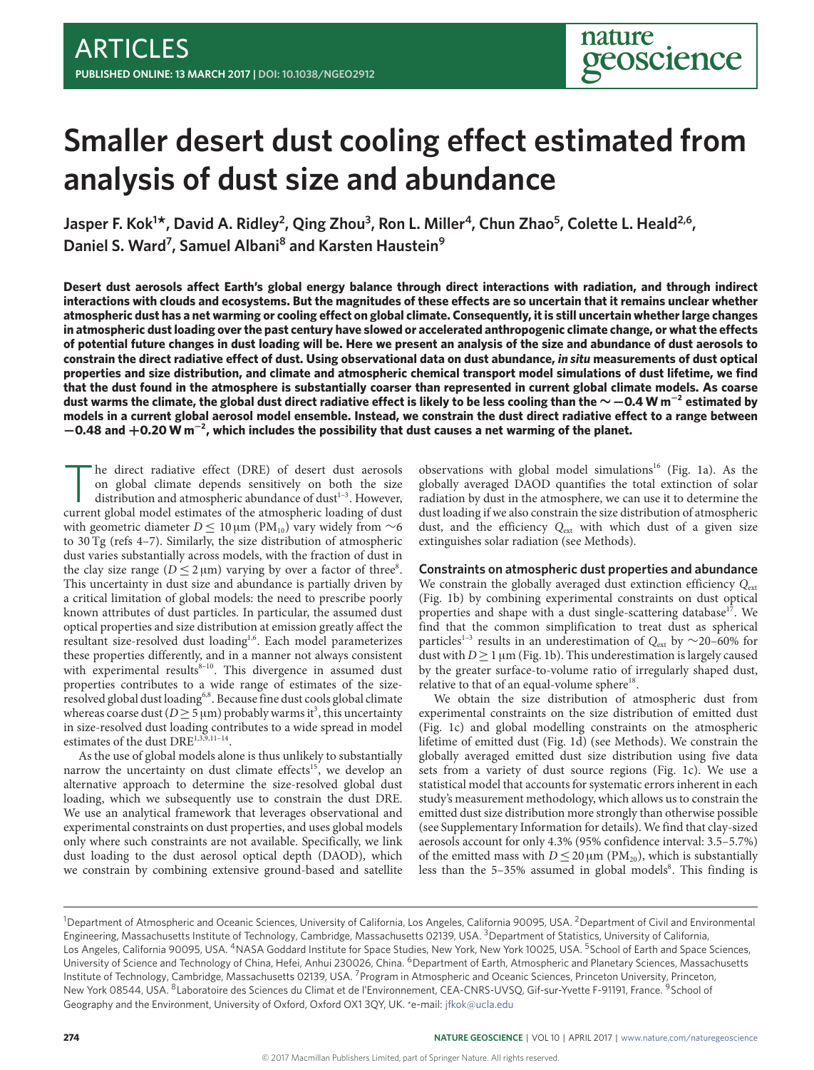# **Smaller desert dust cooling effect estimated from analysis of dust size and abundance**

Jasper F. Kok<sup>1\*</sup>, David A. Ridley<sup>2</sup>, Qing Zhou<sup>3</sup>, Ron L. Miller<sup>4</sup>, Chun Zhao<sup>5</sup>, Colette L. Heald<sup>2,6</sup>, Daniel S. Ward<sup>7</sup>, Samuel Albani<sup>8</sup> and Karsten Haustein<sup>9</sup>

Desert dust aerosols affect Earth's global energy balance through direct interactions with radiation, and through indirect interactions with clouds and ecosystems. But the magnitudes of these effects are so uncertain that it remains unclear whether atmospheric dust has a net warming or cooling effect on global climate. Consequently, it is still uncertain whether large changes in atmospheric dust loading over the past century have slowed or accelerated anthropogenic climate change, or what the effects **of potential future changes in dust loading will be. Here we present an analysis of the size and abundance of dust aerosols to constrain the direct radiative eect of dust. Using observational data on dust abundance,** *in situ* **measurements of dust optical properties and size distribution, and climate and atmospheric chemical transport model simulations of dust lifetime, we find that the dust found in the atmosphere is substantially coarser than represented in current global climate models. As coarse** dust warms the climate, the global dust direct radiative effect is likely to be less cooling than the  $\sim$   $-$  0.4 W m<sup>−2</sup> estimated by models in a current global aerosol model ensemble. Instead, we constrain the dust direct radiative effect to a range between −**0.48 and** +**0.20 W m**<sup>−</sup>**<sup>2</sup> , which includes the possibility that dust causes a net warming of the planet.**

The direct radiative effect (DRE) of desert dust aerosols<br>on global climate depends sensitively on both the size<br>distribution and atmospheric abundance of dust<sup>1-3</sup>. However,<br>current global model estimates of the atmospher he direct radiative effect (DRE) of desert dust aerosols on global climate depends sensitively on both the size distribution and atmospheric abundance of dust $1-3$  $1-3$ . However, with geometric diameter  $D \le 10 \mu m$  (PM<sub>10</sub>) vary widely from ~6 to 30 Tg (refs [4](#page-3-2)[–7\)](#page-3-3). Similarly, the size distribution of atmospheric dust varies substantially across models, with the fraction of dust in the clay size range ( $D \le 2 \mu m$ ) varying by over a factor of three<sup>[8](#page-3-4)</sup>. This uncertainty in dust size and abundance is partially driven by a critical limitation of global models: the need to prescribe poorly known attributes of dust particles. In particular, the assumed dust optical properties and size distribution at emission greatly affect the resultant size-resolved dust loading<sup>[1,](#page-3-0)[6](#page-3-5)</sup>. Each model parameterizes these properties differently, and in a manner not always consistent with experimental results $8-10$  $8-10$ . This divergence in assumed dust properties contributes to a wide range of estimates of the size-resolved global dust loading<sup>[6](#page-3-5)[,8](#page-3-4)</sup>. Because fine dust cools global climate whereas coarse dust ( $D \geq 5 \,\mu$ m) probably warms it<sup>[3](#page-3-1)</sup>, this uncertainty in size-resolved dust loading contributes to a wide spread in model estimates of the dust DRE<sup>[1](#page-3-0)[,3](#page-3-1)[,9,](#page-3-7)11-[14](#page-4-0)</sup>.

As the use of global models alone is thus unlikely to substantially narrow the uncertainty on dust climate effects<sup>[15](#page-4-1)</sup>, we develop an alternative approach to determine the size-resolved global dust loading, which we subsequently use to constrain the dust DRE. We use an analytical framework that leverages observational and experimental constraints on dust properties, and uses global models only where such constraints are not available. Specifically, we link dust loading to the dust aerosol optical depth (DAOD), which we constrain by combining extensive ground-based and satellite

observations with global model simulations<sup>[16](#page-4-2)</sup> (Fig. [1a\)](#page-1-0). As the globally averaged DAOD quantifies the total extinction of solar radiation by dust in the atmosphere, we can use it to determine the dust loading if we also constrain the size distribution of atmospheric dust, and the efficiency  $Q_{ext}$  with which dust of a given size extinguishes solar radiation (see Methods).

#### **Constraints on atmospheric dust properties and abundance**

We constrain the globally averaged dust extinction efficiency  $Q_{\text{ext}}$ (Fig. [1b\)](#page-1-0) by combining experimental constraints on dust optical properties and shape with a dust single-scattering database<sup>[17](#page-4-3)</sup>. We find that the common simplification to treat dust as spherical particles<sup>[1](#page-3-0)-3</sup> results in an underestimation of Q<sub>ext</sub> by ∼20–60% for dust with  $D \geq 1 \mu m$  (Fig. [1b\)](#page-1-0). This underestimation is largely caused by the greater surface-to-volume ratio of irregularly shaped dust, relative to that of an equal-volume sphere<sup>[18](#page-4-4)</sup>.

We obtain the size distribution of atmospheric dust from experimental constraints on the size distribution of emitted dust (Fig. [1c\)](#page-1-0) and global modelling constraints on the atmospheric lifetime of emitted dust (Fig. [1d\)](#page-1-0) (see Methods). We constrain the globally averaged emitted dust size distribution using five data sets from a variety of dust source regions (Fig. [1c\)](#page-1-0). We use a statistical model that accounts for systematic errors inherent in each study's measurement methodology, which allows us to constrain the emitted dust size distribution more strongly than otherwise possible (see Supplementary Information for details). We find that clay-sized aerosols account for only 4.3% (95% confidence interval: 3.5–5.7%) of the emitted mass with  $D \leq 20 \,\mu m$  (PM<sub>20</sub>), which is substantially less than the 5-35% assumed in global models<sup>[8](#page-3-4)</sup>. This finding is

<sup>&</sup>lt;sup>1</sup>Department of Atmospheric and Oceanic Sciences, University of California, Los Angeles, California 90095, USA. <sup>2</sup>Department of Civil and Environmental Engineering, Massachusetts Institute of Technology, Cambridge, Massachusetts 02139, USA. <sup>3</sup>Department of Statistics, University of California, Los Angeles, California 90095, USA. <sup>4</sup>NASA Goddard Institute for Space Studies, New York, New York 10025, USA. <sup>5</sup>School of Earth and Space Sciences, University of Science and Technology of China, Hefei, Anhui 230026, China. <sup>6</sup>Department of Earth, Atmospheric and Planetary Sciences, Massachusetts Institute of Technology, Cambridge, Massachusetts 02139, USA. <sup>7</sup> Program in Atmospheric and Oceanic Sciences, Princeton University, Princeton, New York 08544, USA. <sup>8</sup>Laboratoire des Sciences du Climat et de l'Environnement, CEA-CNRS-UVSQ, Gif-sur-Yvette F-91191, France. <sup>9</sup>School of Geography and the Environment, University of Oxford, Oxford OX1 3QY, UK. \*e-mail: [jfkok@ucla.edu](mailto:jfkok@ucla.edu)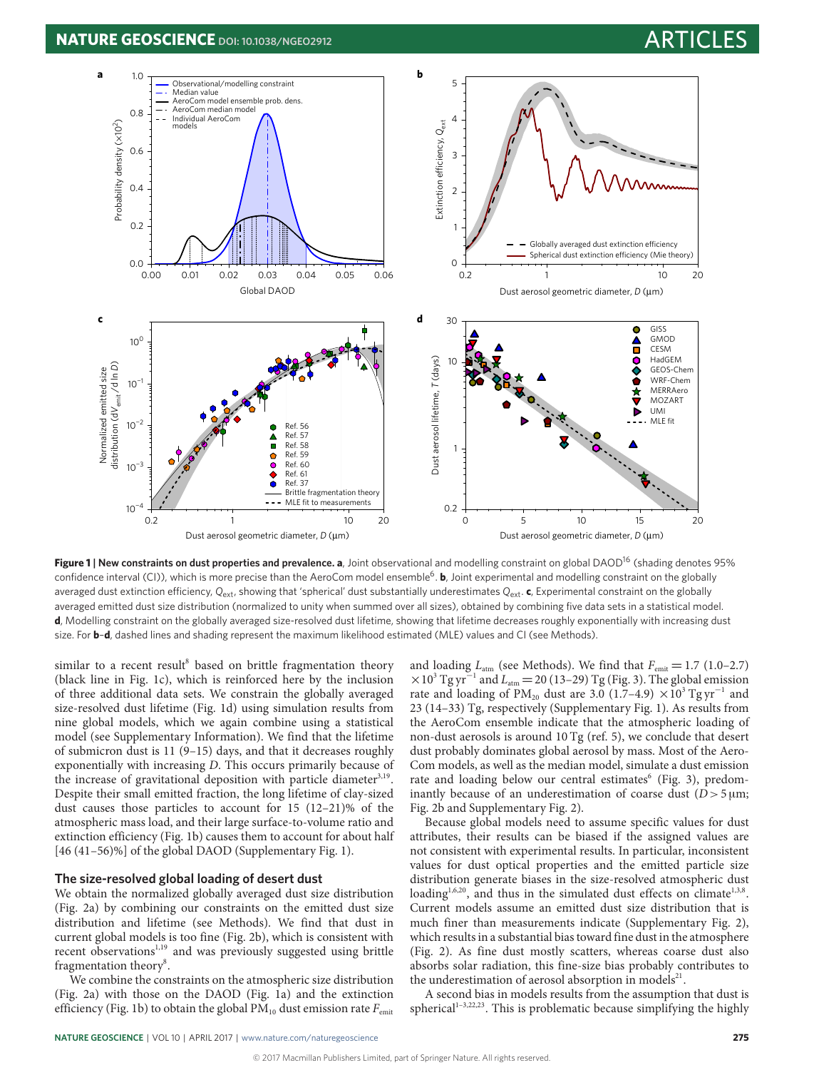<span id="page-1-0"></span>

**Figure 1** | New constraints on dust properties and prevalence. a, Joint observational and modelling constraint on global DAOD<sup>[16](#page-4-2)</sup> (shading denotes 95% confidence interval (CI)), which is more precise than the AeroCom model ensemble<sup>[6](#page-3-5)</sup>. **b**, Joint experimental and modelling constraint on the globally averaged dust extinction efficiency, Q<sub>ext</sub>, showing that 'spherical' dust substantially underestimates Q<sub>ext</sub>. c, Experimental constraint on the globally averaged emitted dust size distribution (normalized to unity when summed over all sizes), obtained by combining five data sets in a statistical model. **d**, Modelling constraint on the globally averaged size-resolved dust lifetime, showing that lifetime decreases roughly exponentially with increasing dust size. For **b**–**d**, dashed lines and shading represent the maximum likelihood estimated (MLE) values and CI (see Methods).

similar to a recent result<sup>[8](#page-3-4)</sup> based on brittle fragmentation theory (black line in Fig. [1c\)](#page-1-0), which is reinforced here by the inclusion of three additional data sets. We constrain the globally averaged size-resolved dust lifetime (Fig. [1d\)](#page-1-0) using simulation results from nine global models, which we again combine using a statistical model (see Supplementary Information). We find that the lifetime of submicron dust is 11 (9–15) days, and that it decreases roughly exponentially with increasing D. This occurs primarily because of the increase of gravitational deposition with particle diameter<sup>[3,](#page-3-1)[19](#page-4-5)</sup>. Despite their small emitted fraction, the long lifetime of clay-sized dust causes those particles to account for 15 (12–21)% of the atmospheric mass load, and their large surface-to-volume ratio and extinction efficiency (Fig. [1b\)](#page-1-0) causes them to account for about half [46 (41-56)%] of the global DAOD (Supplementary Fig. 1).

### **The size-resolved global loading of desert dust**

We obtain the normalized globally averaged dust size distribution (Fig. [2a\)](#page-2-0) by combining our constraints on the emitted dust size distribution and lifetime (see Methods). We find that dust in current global models is too fine (Fig. [2b\)](#page-2-0), which is consistent with recent observations<sup>[1](#page-3-0)[,19](#page-4-5)</sup> and was previously suggested using brittle fragmentation theory<sup>[8](#page-3-4)</sup>.

We combine the constraints on the atmospheric size distribution (Fig. [2a\)](#page-2-0) with those on the DAOD (Fig. [1a\)](#page-1-0) and the extinction efficiency (Fig. [1b\)](#page-1-0) to obtain the global  $PM_{10}$  dust emission rate  $F_{\text{emit}}$  and loading  $L_{\text{atm}}$  (see Methods). We find that  $F_{\text{emit}} = 1.7$  (1.0–2.7)  $\times$ 10<sup>3</sup> Tg yr<sup>-1</sup> and L<sub>atm</sub> = 20 (13-29) Tg (Fig. [3\)](#page-2-1). The global emission rate and loading of PM<sub>20</sub> dust are 3.0 (1.7–4.9) ×10<sup>3</sup> Tg yr<sup>-1</sup> and 23 (14–33) Tg, respectively (Supplementary Fig. 1). As results from the AeroCom ensemble indicate that the atmospheric loading of non-dust aerosols is around 10 Tg (ref. [5\)](#page-3-9), we conclude that desert dust probably dominates global aerosol by mass. Most of the Aero-Com models, as well as the median model, simulate a dust emission rate and loading below our central estimates<sup>[6](#page-3-5)</sup> (Fig. [3\)](#page-2-1), predominantly because of an underestimation of coarse dust  $(D>5 \mu m)$ ; Fig. [2b](#page-2-0) and Supplementary Fig. 2).

Because global models need to assume specific values for dust attributes, their results can be biased if the assigned values are not consistent with experimental results. In particular, inconsistent values for dust optical properties and the emitted particle size distribution generate biases in the size-resolved atmospheric dust loading<sup>[1](#page-3-0)[,6,](#page-3-5)[20](#page-4-6)</sup>, and thus in the simulated dust effects on climate<sup>[1,](#page-3-0)[3,](#page-3-1)[8](#page-3-4)</sup>. Current models assume an emitted dust size distribution that is much finer than measurements indicate (Supplementary Fig. 2), which results in a substantial bias toward fine dust in the atmosphere (Fig. [2\)](#page-2-0). As fine dust mostly scatters, whereas coarse dust also absorbs solar radiation, this fine-size bias probably contributes to the underestimation of aerosol absorption in models<sup>[21](#page-4-7)</sup>.

A second bias in models results from the assumption that dust is spherical<sup>1-[3](#page-3-1)[,22](#page-4-8)[,23](#page-4-9)</sup>. This is problematic because simplifying the highly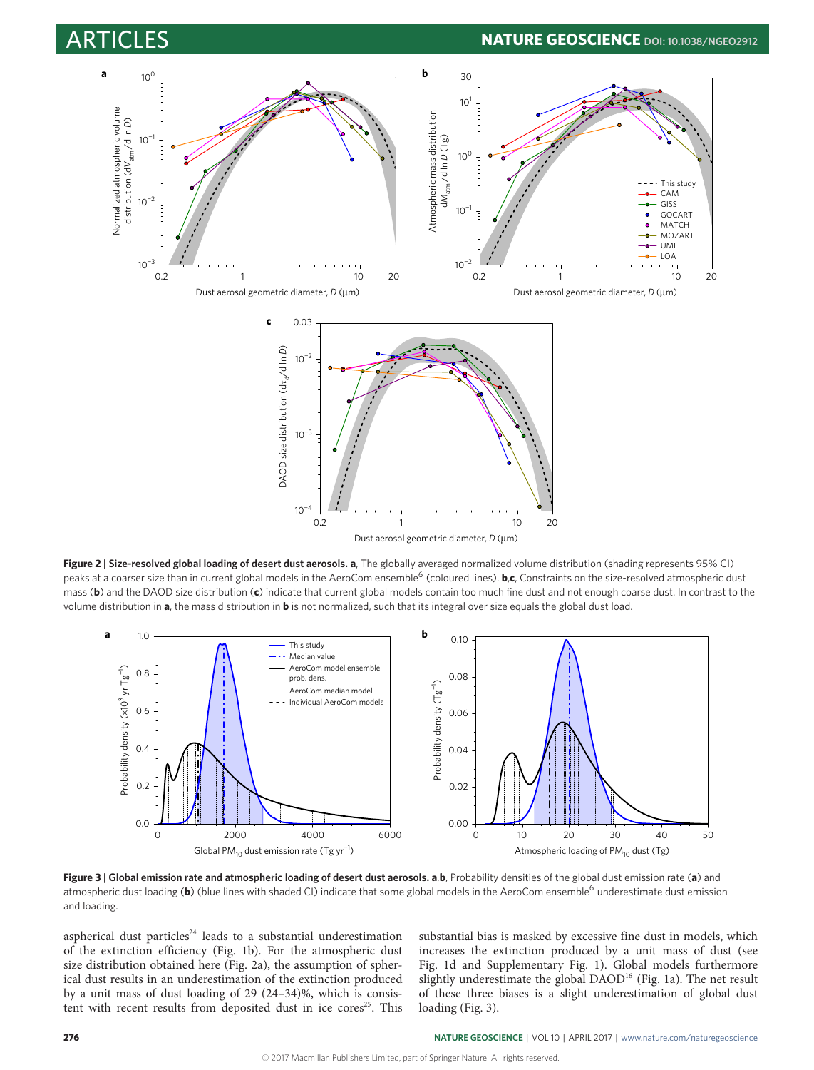# **ARTURE GEOSCIENCE** DOI: [10.1038/NGEO2912](http://dx.doi.org/10.1038/ngeo2912)

<span id="page-2-0"></span>

Dust aerosol geometric diameter, *D* (µm)

**Figure 2 | Size-resolved global loading of desert dust aerosols. a**, The globally averaged normalized volume distribution (shading represents 95% CI) peaks at a coarser size than in current global models in the AeroCom ensemble<sup>[6](#page-3-5)</sup> (coloured lines). **b,c**, Constraints on the size-resolved atmospheric dust mass (**b**) and the DAOD size distribution (**c**) indicate that current global models contain too much fine dust and not enough coarse dust. In contrast to the volume distribution in **a**, the mass distribution in **b** is not normalized, such that its integral over size equals the global dust load.

<span id="page-2-1"></span>![](_page_2_Figure_5.jpeg)

**Figure 3 | Global emission rate and atmospheric loading of desert dust aerosols. a**,**b**, Probability densities of the global dust emission rate (**a**) and atmospheric dust loading (b) (blue lines with shaded CI) indicate that some global models in the AeroCom ensemble<sup>[6](#page-3-5)</sup> underestimate dust emission and loading.

aspherical dust particles<sup>[24](#page-4-10)</sup> leads to a substantial underestimation of the extinction efficiency (Fig. [1b\)](#page-1-0). For the atmospheric dust size distribution obtained here (Fig. [2a\)](#page-2-0), the assumption of spherical dust results in an underestimation of the extinction produced by a unit mass of dust loading of 29 (24–34)%, which is consis-tent with recent results from deposited dust in ice cores<sup>[25](#page-4-11)</sup>. This

substantial bias is masked by excessive fine dust in models, which increases the extinction produced by a unit mass of dust (see Fig. [1d](#page-1-0) and Supplementary Fig. 1). Global models furthermore slightly underestimate the global DAOD<sup>[16](#page-4-2)</sup> (Fig. [1a\)](#page-1-0). The net result of these three biases is a slight underestimation of global dust loading (Fig. [3\)](#page-2-1).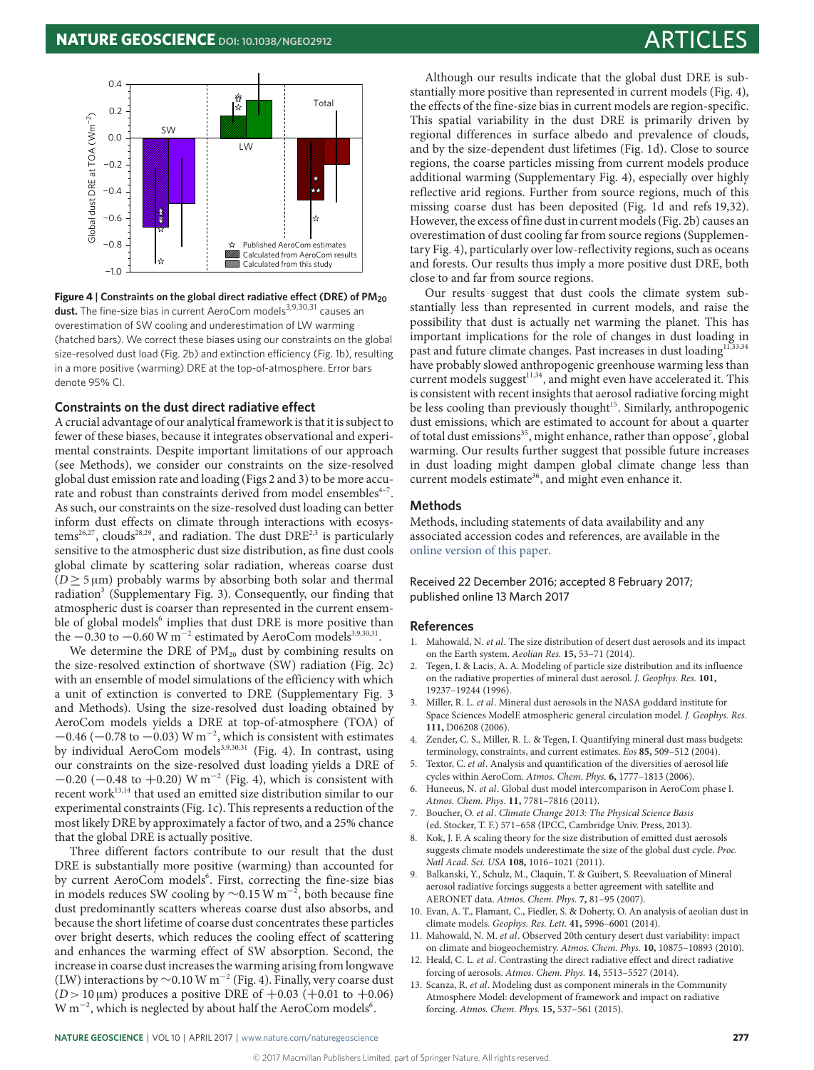<span id="page-3-11"></span>![](_page_3_Figure_2.jpeg)

**Figure 4** | Constraints on the global direct radiative effect (DRE) of PM<sub>20</sub> **dust.** The fine-size bias in current AeroCom models<sup>[3,](#page-3-1)[9](#page-3-7)[,30](#page-4-12)[,31](#page-4-13)</sup> causes an overestimation of SW cooling and underestimation of LW warming (hatched bars). We correct these biases using our constraints on the global size-resolved dust load (Fig. [2b\)](#page-2-0) and extinction efficiency (Fig. [1b\)](#page-1-0), resulting in a more positive (warming) DRE at the top-of-atmosphere. Error bars denote 95% CI.

### **Constraints on the dust direct radiative effect**

A crucial advantage of our analytical framework is that it is subject to fewer of these biases, because it integrates observational and experimental constraints. Despite important limitations of our approach (see Methods), we consider our constraints on the size-resolved global dust emission rate and loading (Figs [2](#page-2-0) and [3\)](#page-2-1) to be more accu-rate and robust than constraints derived from model ensembles<sup>4-[7](#page-3-3)</sup>. As such, our constraints on the size-resolved dust loading can better inform dust effects on climate through interactions with ecosys-tems<sup>[26,](#page-4-14)[27](#page-4-15)</sup>, clouds<sup>[28](#page-4-16)[,29](#page-4-17)</sup>, and radiation. The dust  $\text{DRE}^{2,3}$  $\text{DRE}^{2,3}$  $\text{DRE}^{2,3}$  $\text{DRE}^{2,3}$  is particularly sensitive to the atmospheric dust size distribution, as fine dust cools global climate by scattering solar radiation, whereas coarse dust  $(D \geq 5 \,\mu\text{m})$  probably warms by absorbing both solar and thermal radiation<sup>[3](#page-3-1)</sup> (Supplementary Fig. 3). Consequently, our finding that atmospheric dust is coarser than represented in the current ensem-ble of global models<sup>[6](#page-3-5)</sup> implies that dust DRE is more positive than the  $-0.30$  $-0.30$  to  $-0.60$  W m<sup>-2</sup> estimated by AeroCom models<sup>[3,](#page-3-1)[9,](#page-3-7)30[,31](#page-4-13)</sup>.

We determine the DRE of  $PM_{20}$  dust by combining results on the size-resolved extinction of shortwave (SW) radiation (Fig. [2c\)](#page-2-0) with an ensemble of model simulations of the efficiency with which a unit of extinction is converted to DRE (Supplementary Fig. 3 and Methods). Using the size-resolved dust loading obtained by AeroCom models yields a DRE at top-of-atmosphere (TOA) of  $-0.46$  ( $-0.78$  to  $-0.03$ ) W m<sup>-2</sup>, which is consistent with estimates by individual AeroCom models<sup>[3](#page-3-1)[,9](#page-3-7)[,30,](#page-4-12)[31](#page-4-13)</sup> (Fig. [4\)](#page-3-11). In contrast, using our constraints on the size-resolved dust loading yields a DRE of  $-0.20$  ( $-0.48$  to  $+0.20$ ) W m<sup>-2</sup> (Fig. [4\)](#page-3-11), which is consistent with recent work<sup>[13](#page-3-12)[,14](#page-4-0)</sup> that used an emitted size distribution similar to our experimental constraints (Fig. [1c\)](#page-1-0). This represents a reduction of the most likely DRE by approximately a factor of two, and a 25% chance that the global DRE is actually positive.

Three different factors contribute to our result that the dust DRE is substantially more positive (warming) than accounted for by current AeroCom models<sup>[6](#page-3-5)</sup>. First, correcting the fine-size bias in models reduces SW cooling by  $\sim$ 0.15 W m<sup>-2</sup>, both because fine dust predominantly scatters whereas coarse dust also absorbs, and because the short lifetime of coarse dust concentrates these particles over bright deserts, which reduces the cooling effect of scattering and enhances the warming effect of SW absorption. Second, the increase in coarse dust increases the warming arising from longwave (LW) interactions by ∼0.10 W m<sup>−</sup><sup>2</sup> (Fig. [4\)](#page-3-11). Finally, very coarse dust  $(D > 10 \,\mu\text{m})$  produces a positive DRE of  $+0.03$  ( $+0.01$  to  $+0.06$ ) W m<sup>-2</sup>, which is neglected by about half the AeroCom models<sup>[6](#page-3-5)</sup>.

Although our results indicate that the global dust DRE is substantially more positive than represented in current models (Fig. [4\)](#page-3-11), the effects of the fine-size bias in current models are region-specific. This spatial variability in the dust DRE is primarily driven by regional differences in surface albedo and prevalence of clouds, and by the size-dependent dust lifetimes (Fig. [1d\)](#page-1-0). Close to source regions, the coarse particles missing from current models produce additional warming (Supplementary Fig. 4), especially over highly reflective arid regions. Further from source regions, much of this missing coarse dust has been deposited (Fig. [1d](#page-1-0) and refs [19,](#page-4-5)[32\)](#page-4-18). However, the excess of fine dust in current models (Fig. [2b\)](#page-2-0) causes an overestimation of dust cooling far from source regions (Supplementary Fig. 4), particularly over low-reflectivity regions, such as oceans and forests. Our results thus imply a more positive dust DRE, both close to and far from source regions.

Our results suggest that dust cools the climate system substantially less than represented in current models, and raise the possibility that dust is actually net warming the planet. This has important implications for the role of changes in dust loading in past and future climate changes. Past increases in dust loading<sup>[11,](#page-3-8)[33](#page-4-19)[,34](#page-4-20)</sup> have probably slowed anthropogenic greenhouse warming less than current models suggest<sup>[11,](#page-3-8)[34](#page-4-20)</sup>, and might even have accelerated it. This is consistent with recent insights that aerosol radiative forcing might be less cooling than previously thought<sup>[15](#page-4-1)</sup>. Similarly, anthropogenic dust emissions, which are estimated to account for about a quarter of total dust emissions<sup>[35](#page-4-21)</sup>, might enhance, rather than oppose<sup>[7](#page-3-3)</sup>, global warming. Our results further suggest that possible future increases in dust loading might dampen global climate change less than current models estimate<sup>[36](#page-4-22)</sup>, and might even enhance it.

### **Methods**

Methods, including statements of data availability and any associated accession codes and references, are available in the [online version of this paper.](http://dx.doi.org/10.1038/ngeo2912)

Received 22 December 2016; accepted 8 February 2017; published online 13 March 2017

#### **References**

- <span id="page-3-0"></span>1. Mahowald, N. et al. The size distribution of desert dust aerosols and its impact on the Earth system. Aeolian Res. **15,** 53–71 (2014).
- <span id="page-3-10"></span>2. Tegen, I. & Lacis, A. A. Modeling of particle size distribution and its influence on the radiative properties of mineral dust aerosol. J. Geophys. Res. **101,** 19237–19244 (1996).
- <span id="page-3-1"></span>3. Miller, R. L. et al. Mineral dust aerosols in the NASA goddard institute for Space Sciences ModelE atmospheric general circulation model. J. Geophys. Res. **111,** D06208 (2006).
- <span id="page-3-2"></span>4. Zender, C. S., Miller, R. L. & Tegen, I. Quantifying mineral dust mass budgets: terminology, constraints, and current estimates. Eos **85,** 509–512 (2004).
- <span id="page-3-9"></span>5. Textor, C. et al. Analysis and quantification of the diversities of aerosol life cycles within AeroCom. Atmos. Chem. Phys. **6,** 1777–1813 (2006).
- <span id="page-3-5"></span>Huneeus, N. et al. Global dust model intercomparison in AeroCom phase I. Atmos. Chem. Phys. **11,** 7781–7816 (2011).
- <span id="page-3-3"></span>Boucher, O. et al. Climate Change 2013: The Physical Science Basis (ed. Stocker, T. F.) 571–658 (IPCC, Cambridge Univ. Press, 2013).
- <span id="page-3-4"></span>Kok, J. F. A scaling theory for the size distribution of emitted dust aerosols suggests climate models underestimate the size of the global dust cycle. Proc. Natl Acad. Sci. USA **108,** 1016–1021 (2011).
- <span id="page-3-7"></span>9. Balkanski, Y., Schulz, M., Claquin, T. & Guibert, S. Reevaluation of Mineral aerosol radiative forcings suggests a better agreement with satellite and AERONET data. Atmos. Chem. Phys. **7,** 81–95 (2007).
- <span id="page-3-6"></span>10. Evan, A. T., Flamant, C., Fiedler, S. & Doherty, O. An analysis of aeolian dust in climate models. Geophys. Res. Lett. **41,** 5996–6001 (2014).
- <span id="page-3-8"></span>11. Mahowald, N. M. et al. Observed 20th century desert dust variability: impact on climate and biogeochemistry. Atmos. Chem. Phys. **10,** 10875–10893 (2010).
- 12. Heald, C. L. et al. Contrasting the direct radiative effect and direct radiative forcing of aerosols. Atmos. Chem. Phys. **14,** 5513–5527 (2014).
- <span id="page-3-12"></span>13. Scanza, R. et al. Modeling dust as component minerals in the Community Atmosphere Model: development of framework and impact on radiative forcing. Atmos. Chem. Phys. **15,** 537–561 (2015).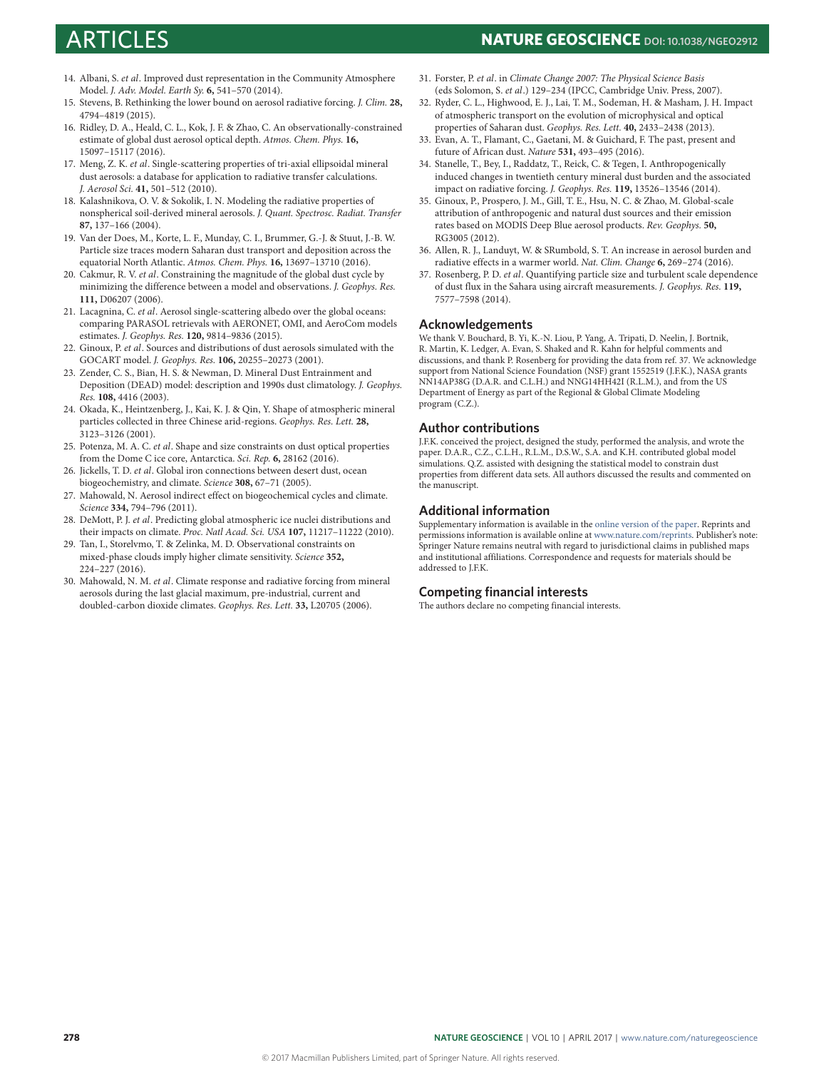# ARTICLES **NATURE GEOSCIENCE DOI: [10.1038/NGEO2912](http://dx.doi.org/10.1038/ngeo2912)**

- <span id="page-4-0"></span>14. Albani, S. et al. Improved dust representation in the Community Atmosphere Model. J. Adv. Model. Earth Sy. **6,** 541–570 (2014).
- <span id="page-4-1"></span>15. Stevens, B. Rethinking the lower bound on aerosol radiative forcing. J. Clim. **28,** 4794–4819 (2015).
- <span id="page-4-2"></span>16. Ridley, D. A., Heald, C. L., Kok, J. F. & Zhao, C. An observationally-constrained estimate of global dust aerosol optical depth. Atmos. Chem. Phys. **16,** 15097–15117 (2016).
- <span id="page-4-3"></span>17. Meng, Z. K. et al. Single-scattering properties of tri-axial ellipsoidal mineral dust aerosols: a database for application to radiative transfer calculations. J. Aerosol Sci. **41,** 501–512 (2010).
- <span id="page-4-4"></span>18. Kalashnikova, O. V. & Sokolik, I. N. Modeling the radiative properties of nonspherical soil-derived mineral aerosols. J. Quant. Spectrosc. Radiat. Transfer **87,** 137–166 (2004).
- <span id="page-4-5"></span>19. Van der Does, M., Korte, L. F., Munday, C. I., Brummer, G.-J. & Stuut, J.-B. W. Particle size traces modern Saharan dust transport and deposition across the equatorial North Atlantic. Atmos. Chem. Phys. **16,** 13697–13710 (2016).
- <span id="page-4-6"></span>20. Cakmur, R. V. et al. Constraining the magnitude of the global dust cycle by minimizing the difference between a model and observations. J. Geophys. Res. **111,** D06207 (2006).
- <span id="page-4-7"></span>21. Lacagnina, C. et al. Aerosol single-scattering albedo over the global oceans: comparing PARASOL retrievals with AERONET, OMI, and AeroCom models estimates. J. Geophys. Res. **120,** 9814–9836 (2015).
- <span id="page-4-8"></span>22. Ginoux, P. et al. Sources and distributions of dust aerosols simulated with the GOCART model. J. Geophys. Res. **106,** 20255–20273 (2001).
- <span id="page-4-9"></span>23. Zender, C. S., Bian, H. S. & Newman, D. Mineral Dust Entrainment and Deposition (DEAD) model: description and 1990s dust climatology. J. Geophys. Res. **108,** 4416 (2003).
- <span id="page-4-10"></span>24. Okada, K., Heintzenberg, J., Kai, K. J. & Qin, Y. Shape of atmospheric mineral particles collected in three Chinese arid-regions. Geophys. Res. Lett. **28,** 3123–3126 (2001).
- <span id="page-4-11"></span>25. Potenza, M. A. C. et al. Shape and size constraints on dust optical properties from the Dome C ice core, Antarctica. Sci. Rep. **6,** 28162 (2016).
- <span id="page-4-14"></span>26. Jickells, T. D. et al. Global iron connections between desert dust, ocean biogeochemistry, and climate. Science **308,** 67–71 (2005).
- <span id="page-4-15"></span>27. Mahowald, N. Aerosol indirect effect on biogeochemical cycles and climate. Science **334,** 794–796 (2011).
- <span id="page-4-16"></span>DeMott, P. J. et al. Predicting global atmospheric ice nuclei distributions and their impacts on climate. Proc. Natl Acad. Sci. USA **107,** 11217–11222 (2010).
- <span id="page-4-17"></span>29. Tan, I., Storelvmo, T. & Zelinka, M. D. Observational constraints on mixed-phase clouds imply higher climate sensitivity. Science **352,** 224–227 (2016).
- <span id="page-4-12"></span>30. Mahowald, N. M. et al. Climate response and radiative forcing from mineral aerosols during the last glacial maximum, pre-industrial, current and doubled-carbon dioxide climates. Geophys. Res. Lett. **33,** L20705 (2006).
- <span id="page-4-13"></span>31. Forster, P. et al. in Climate Change 2007: The Physical Science Basis (eds Solomon, S. et al.) 129–234 (IPCC, Cambridge Univ. Press, 2007).
- <span id="page-4-18"></span>32. Ryder, C. L., Highwood, E. J., Lai, T. M., Sodeman, H. & Masham, J. H. Impact of atmospheric transport on the evolution of microphysical and optical properties of Saharan dust. Geophys. Res. Lett. **40,** 2433–2438 (2013).
- <span id="page-4-19"></span>33. Evan, A. T., Flamant, C., Gaetani, M. & Guichard, F. The past, present and future of African dust. Nature **531,** 493–495 (2016).
- <span id="page-4-20"></span>34. Stanelle, T., Bey, I., Raddatz, T., Reick, C. & Tegen, I. Anthropogenically induced changes in twentieth century mineral dust burden and the associated impact on radiative forcing. J. Geophys. Res. **119,** 13526–13546 (2014).
- <span id="page-4-21"></span>35. Ginoux, P., Prospero, J. M., Gill, T. E., Hsu, N. C. & Zhao, M. Global-scale attribution of anthropogenic and natural dust sources and their emission rates based on MODIS Deep Blue aerosol products. Rev. Geophys. **50,** RG3005 (2012).
- <span id="page-4-22"></span>36. Allen, R. J., Landuyt, W. & SRumbold, S. T. An increase in aerosol burden and radiative effects in a warmer world. Nat. Clim. Change **6,** 269–274 (2016).
- <span id="page-4-23"></span>37. Rosenberg, P. D. et al. Quantifying particle size and turbulent scale dependence of dust flux in the Sahara using aircraft measurements. J. Geophys. Res. **119,** 7577–7598 (2014).

### **Acknowledgements**

We thank V. Bouchard, B. Yi, K.-N. Liou, P. Yang, A. Tripati, D. Neelin, J. Bortnik, R. Martin, K. Ledger, A. Evan, S. Shaked and R. Kahn for helpful comments and discussions, and thank P. Rosenberg for providing the data from ref. [37.](#page-4-23) We acknowledge support from National Science Foundation (NSF) grant 1552519 (J.F.K.), NASA grants NN14AP38G (D.A.R. and C.L.H.) and NNG14HH42I (R.L.M.), and from the US Department of Energy as part of the Regional & Global Climate Modeling program (C.Z.).

### **Author contributions**

J.F.K. conceived the project, designed the study, performed the analysis, and wrote the paper. D.A.R., C.Z., C.L.H., R.L.M., D.S.W., S.A. and K.H. contributed global model simulations. Q.Z. assisted with designing the statistical model to constrain dust properties from different data sets. All authors discussed the results and commented on the manuscript.

### **Additional information**

Supplementary information is available in the [online version of the paper.](http://dx.doi.org/10.1038/ngeo2912) Reprints and permissions information is available online at [www.nature.com/reprints.](http://www.nature.com/reprints) Publisher's note: Springer Nature remains neutral with regard to jurisdictional claims in published maps and institutional affiliations. Correspondence and requests for materials should be addressed to J.F.K.

### **Competing financial interests**

The authors declare no competing financial interests.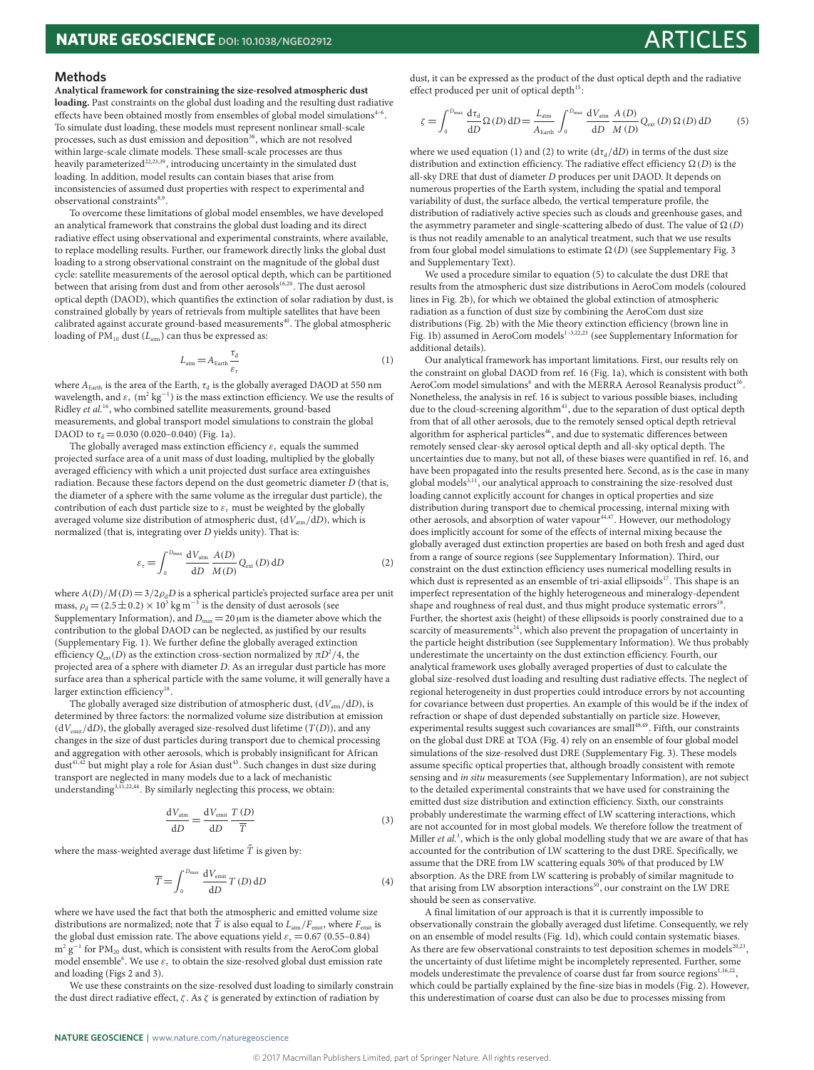#### **Methods**

**Analytical framework for constraining the size-resolved atmospheric dust loading.** Past constraints on the global dust loading and the resulting dust radiative effects have been obtained mostly from ensembles of global model simulations $4-6$  $4-6$ . To simulate dust loading, these models must represent nonlinear small-scale processes, such as dust emission and deposition<sup>[38](#page-6-0)</sup>, which are not resolved within large-scale climate models. These small-scale processes are thus heavily parameterized<sup>[22](#page-4-8)[,23,](#page-4-9)[39](#page-6-1)</sup>, introducing uncertainty in the simulated dust loading. In addition, model results can contain biases that arise from inconsistencies of assumed dust properties with respect to experimental and observational constraints<sup>[8](#page-3-4)[,9](#page-3-7)</sup>.

To overcome these limitations of global model ensembles, we have developed an analytical framework that constrains the global dust loading and its direct radiative effect using observational and experimental constraints, where available, to replace modelling results. Further, our framework directly links the global dust loading to a strong observational constraint on the magnitude of the global dust cycle: satellite measurements of the aerosol optical depth, which can be partitioned between that arising from dust and from other aerosols<sup>[16,](#page-4-2)[20](#page-4-6)</sup>. The dust aerosol optical depth (DAOD), which quantifies the extinction of solar radiation by dust, is constrained globally by years of retrievals from multiple satellites that have been calibrated against accurate ground-based measurements<sup>[40](#page-6-2)</sup>. The global atmospheric loading of  $PM_{10}$  dust ( $L_{atm}$ ) can thus be expressed as:

<span id="page-5-0"></span>
$$
L_{\text{atm}} = A_{\text{Earth}} \frac{\tau_d}{\varepsilon_{\tau}} \tag{1}
$$

where  $A_{\text{\tiny Earth}}$  is the area of the Earth,  $\tau_\text{\tiny d}$  is the globally averaged DAOD at 550 nm wavelength, and  $\varepsilon_{\rm r}$   $({\rm m^2~kg^{-1}})$  is the mass extinction efficiency. We use the results of Ridley et al.<sup>[16](#page-4-2)</sup>, who combined satellite measurements, ground-based measurements, and global transport model simulations to constrain the global DAOD to  $\tau_d = 0.030$  (0.020-0.040) (Fig. [1a\)](#page-1-0).

The globally averaged mass extinction efficiency  $\varepsilon_{\tau}$  equals the summed projected surface area of a unit mass of dust loading, multiplied by the globally averaged efficiency with which a unit projected dust surface area extinguishes radiation. Because these factors depend on the dust geometric diameter D (that is, the diameter of a sphere with the same volume as the irregular dust particle), the contribution of each dust particle size to  $\varepsilon$ <sub>τ</sub> must be weighted by the globally averaged volume size distribution of atmospheric dust,  $(dV<sub>atm</sub>/dD)$ , which is normalized (that is, integrating over D yields unity). That is:

<span id="page-5-1"></span>
$$
\varepsilon_{\tau} = \int_0^{D_{\text{max}}} \frac{dV_{\text{atm}}}{dD} \frac{A(D)}{M(D)} Q_{\text{ext}}(D) \, dD \tag{2}
$$

where  $A(D)/M(D)=3/2\rho_dD$  is a spherical particle's projected surface area per unit mass,  $\rho_{\rm d}$  = (2.5  $\pm$  0.2) × 10<sup>3</sup> kg m<sup>−3</sup> is the density of dust aerosols (see Supplementary Information), and  $D_{\text{max}} = 20 \,\mu\text{m}$  is the diameter above which the contribution to the global DAOD can be neglected, as justified by our results (Supplementary Fig. 1). We further define the globally averaged extinction efficiency  $Q_{\textrm{ext}}(D)$  as the extinction cross-section normalized by  $\pi D^2/4,$  the projected area of a sphere with diameter D. As an irregular dust particle has more surface area than a spherical particle with the same volume, it will generally have a larger extinction efficiency<sup>[18](#page-4-4)</sup> .

The globally averaged size distribution of atmospheric dust,  $(dV_{atm}/dD)$ , is determined by three factors: the normalized volume size distribution at emission  $(dV<sub>emit</sub>/dD)$ , the globally averaged size-resolved dust lifetime (T(D)), and any changes in the size of dust particles during transport due to chemical processing and aggregation with other aerosols, which is probably insignificant for African dust<sup>[41](#page-6-3)[,42](#page-6-4)</sup> but might play a role for Asian dust<sup>[43](#page-6-5)</sup>. Such changes in dust size during transport are neglected in many models due to a lack of mechanistic understanding<sup>[3,](#page-3-1)[11](#page-3-8)[,22,](#page-4-8)[44](#page-6-6)</sup>. By similarly neglecting this process, we obtain:

$$
\frac{dV_{\text{atm}}}{dD} = \frac{dV_{\text{emit}}}{dD} \frac{T(D)}{\overline{T}}
$$
\n(3)

where the mass-weighted average dust lifetime  $\bar{T}$  is given by:

$$
\overline{T} = \int_{0}^{D_{\text{max}}} \frac{dV_{\text{emit}}}{dD} T(D) \, dD \tag{4}
$$

where we have used the fact that both the atmospheric and emitted volume size distributions are normalized; note that  $\bar{T}$  is also equal to  $L_{\text{atm}}/F_{\text{emit}}$ , where  $F_{\text{emit}}$  is the global dust emission rate. The above equations yield  $\varepsilon$ <sub>τ</sub> = 0.67 (0.55–0.84)  $m^2$   $g^{-1}$  for PM<sub>20</sub> dust, which is consistent with results from the AeroCom global model ensemble<sup>[6](#page-3-5)</sup>. We use  $\varepsilon_{\tau}$  to obtain the size-resolved global dust emission rate and loading (Figs [2](#page-2-0) and [3\)](#page-2-1).

We use these constraints on the size-resolved dust loading to similarly constrain the dust direct radiative effect,  $\zeta$ . As  $\zeta$  is generated by extinction of radiation by

dust, it can be expressed as the product of the dust optical depth and the radiative effect produced per unit of optical depth<sup>[15](#page-4-1)</sup>:

<span id="page-5-2"></span>
$$
\zeta = \int_0^{D_{\text{max}}} \frac{d\tau_d}{dD} \Omega(D) \, dD = \frac{L_{\text{atm}}}{A_{\text{Earth}}} \int_0^{D_{\text{max}}} \frac{dV_{\text{atm}}}{dD} \frac{A(D)}{M(D)} Q_{\text{ext}}(D) \Omega(D) \, dD \tag{5}
$$

where we used equation [\(1\)](#page-5-0) and [\(2\)](#page-5-1) to write  $(d\tau_d/dD)$  in terms of the dust size distribution and extinction efficiency. The radiative effect efficiency  $\Omega(D)$  is the all-sky DRE that dust of diameter D produces per unit DAOD. It depends on numerous properties of the Earth system, including the spatial and temporal variability of dust, the surface albedo, the vertical temperature profile, the distribution of radiatively active species such as clouds and greenhouse gases, and the asymmetry parameter and single-scattering albedo of dust. The value of  $\Omega$  (D) is thus not readily amenable to an analytical treatment, such that we use results from four global model simulations to estimate  $\Omega(D)$  (see Supplementary Fig. 3) and Supplementary Text).

We used a procedure similar to equation [\(5\)](#page-5-2) to calculate the dust DRE that results from the atmospheric dust size distributions in AeroCom models (coloured lines in Fig. [2b\)](#page-2-0), for which we obtained the global extinction of atmospheric radiation as a function of dust size by combining the AeroCom dust size distributions (Fig. [2b\)](#page-2-0) with the Mie theory extinction efficiency (brown line in Fig. [1b\)](#page-1-0) assumed in AeroCom models<sup>[1](#page-3-0)-3,[22,](#page-4-8)[23](#page-4-9)</sup> (see Supplementary Information for additional details).

Our analytical framework has important limitations. First, our results rely on the constraint on global DAOD from ref. [16](#page-4-2) (Fig. [1a\)](#page-1-0), which is consistent with both AeroCom model simulations<sup>[6](#page-3-5)</sup> and with the MERRA Aerosol Reanalysis product<sup>[16](#page-4-2)</sup>. Nonetheless, the analysis in ref. [16](#page-4-2) is subject to various possible biases, including due to the cloud-screening algorithm<sup>[45](#page-6-7)</sup>, due to the separation of dust optical depth from that of all other aerosols, due to the remotely sensed optical depth retrieval algorithm for aspherical particles<sup>[46](#page-6-8)</sup>, and due to systematic differences between remotely sensed clear-sky aerosol optical depth and all-sky optical depth. The uncertainties due to many, but not all, of these biases were quantified in ref. [16,](#page-4-2) and have been propagated into the results presented here. Second, as is the case in many global models<sup>[3,](#page-3-1)[11](#page-3-8)</sup>, our analytical approach to constraining the size-resolved dust loading cannot explicitly account for changes in optical properties and size distribution during transport due to chemical processing, internal mixing with other aerosols, and absorption of water vapour<sup>[44,](#page-6-6)[47](#page-6-9)</sup>. However, our methodology does implicitly account for some of the effects of internal mixing because the globally averaged dust extinction properties are based on both fresh and aged dust from a range of source regions (see Supplementary Information). Third, our constraint on the dust extinction efficiency uses numerical modelling results in which dust is represented as an ensemble of tri-axial ellipsoids<sup>[17](#page-4-3)</sup>. This shape is an imperfect representation of the highly heterogeneous and mineralogy-dependent shape and roughness of real dust, and thus might produce systematic errors<sup>[18](#page-4-4)</sup> . Further, the shortest axis (height) of these ellipsoids is poorly constrained due to a scarcity of measurements $24$ , which also prevent the propagation of uncertainty in the particle height distribution (see Supplementary Information). We thus probably underestimate the uncertainty on the dust extinction efficiency. Fourth, our analytical framework uses globally averaged properties of dust to calculate the global size-resolved dust loading and resulting dust radiative effects. The neglect of regional heterogeneity in dust properties could introduce errors by not accounting for covariance between dust properties. An example of this would be if the index of refraction or shape of dust depended substantially on particle size. However, experimental results suggest such covariances are small<sup>[48,](#page-6-10)[49](#page-6-11)</sup>. Fifth, our constraints on the global dust DRE at TOA (Fig. [4\)](#page-3-11) rely on an ensemble of four global model simulations of the size-resolved dust DRE (Supplementary Fig. 3). These models assume specific optical properties that, although broadly consistent with remote sensing and in situ measurements (see Supplementary Information), are not subject to the detailed experimental constraints that we have used for constraining the emitted dust size distribution and extinction efficiency. Sixth, our constraints probably underestimate the warming effect of LW scattering interactions, which are not accounted for in most global models. We therefore follow the treatment of Miller et al.<sup>[3](#page-3-1)</sup>, which is the only global modelling study that we are aware of that has accounted for the contribution of LW scattering to the dust DRE. Specifically, we assume that the DRE from LW scattering equals 30% of that produced by LW absorption. As the DRE from LW scattering is probably of similar magnitude to that arising from LW absorption interactions<sup>[50](#page-6-12)</sup>, our constraint on the LW DRE should be seen as conservative.

A final limitation of our approach is that it is currently impossible to observationally constrain the globally averaged dust lifetime. Consequently, we rely on an ensemble of model results (Fig. [1d\)](#page-1-0), which could contain systematic biases. As there are few observational constraints to test deposition schemes in models $^{20,23}$  $^{20,23}$  $^{20,23}$  $^{20,23}$ , the uncertainty of dust lifetime might be incompletely represented. Further, some models underestimate the prevalence of coarse dust far from source regions<sup>[1](#page-3-0)[,16,](#page-4-2)[22](#page-4-8)</sup>, which could be partially explained by the fine-size bias in models (Fig. [2\)](#page-2-0). However, this underestimation of coarse dust can also be due to processes missing from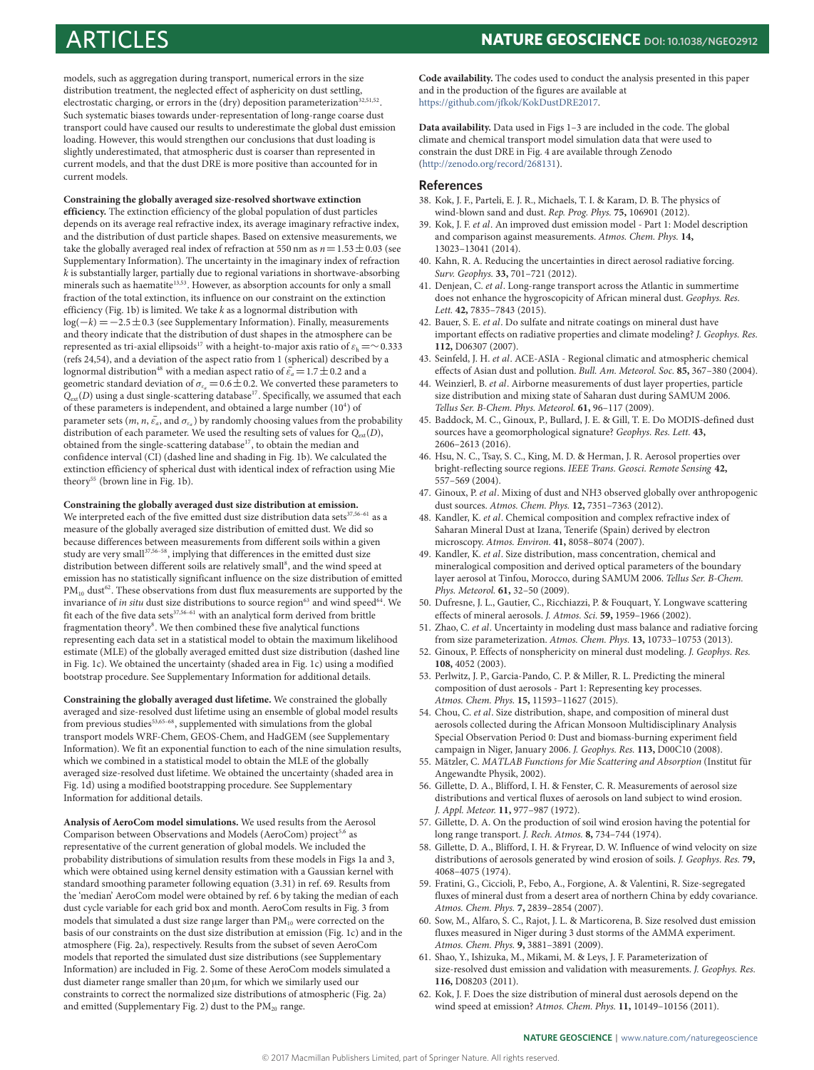ARTICLES **NATURE GEOSCIENCE DOI: [10.1038/NGEO2912](http://dx.doi.org/10.1038/ngeo2912)**

models, such as aggregation during transport, numerical errors in the size distribution treatment, the neglected effect of asphericity on dust settling, electrostatic charging, or errors in the  $\langle$ dry) deposition parameterization $^{32,51,52}$  $^{32,51,52}$  $^{32,51,52}$  $^{32,51,52}$  $^{32,51,52}$ . Such systematic biases towards under-representation of long-range coarse dust transport could have caused our results to underestimate the global dust emission loading. However, this would strengthen our conclusions that dust loading is slightly underestimated, that atmospheric dust is coarser than represented in current models, and that the dust DRE is more positive than accounted for in current models.

**Constraining the globally averaged size-resolved shortwave extinction efficiency.** The extinction efficiency of the global population of dust particles depends on its average real refractive index, its average imaginary refractive index, and the distribution of dust particle shapes. Based on extensive measurements, we take the globally averaged real index of refraction at 550 nm as  $n=1.53\pm0.03$  (see Supplementary Information). The uncertainty in the imaginary index of refraction  $k$  is substantially larger, partially due to regional variations in shortwave-absorbing minerals such as haematite<sup>[13](#page-3-12)[,53](#page-6-15)</sup>. However, as absorption accounts for only a small fraction of the total extinction, its influence on our constraint on the extinction efficiency (Fig. [1b\)](#page-1-0) is limited. We take  $k$  as a lognormal distribution with log( $-k$ ) =  $-2.5 \pm 0.3$  (see Supplementary Information). Finally, measurements and theory indicate that the distribution of dust shapes in the atmosphere can be represented as tri-axial ellipsoids $^{17}$  $^{17}$  $^{17}$  with a height-to-major axis ratio of  $\varepsilon_{\rm h}$  =∼0.333 (refs [24](#page-4-10)[,54\)](#page-6-16), and a deviation of the aspect ratio from 1 (spherical) described by a lognormal distribution<sup>[48](#page-6-10)</sup> with a median aspect ratio of  $\bar{\varepsilon_a} = 1.7 \pm 0.2$  and a geometric standard deviation of  $\sigma_{\varepsilon_a}$  = 0.6  $\pm$  0.2. We converted these parameters to  $Q_{ext}(D)$  using a dust single-scattering database<sup>[17](#page-4-3)</sup>. Specifically, we assumed that each of these parameters is independent, and obtained a large number  $(10<sup>4</sup>)$  of parameter sets (*m*, *n*,  $\bar{\varepsilon}_a$ , and  $\sigma_{\varepsilon_a}$ ) by randomly choosing values from the probability distribution of each parameter. We used the resulting sets of values for  $Q_{\text{ext}}(D)$ , obtained from the single-scattering database<sup>[17](#page-4-3)</sup>, to obtain the median and confidence interval (CI) (dashed line and shading in Fig. [1b\)](#page-1-0). We calculated the extinction efficiency of spherical dust with identical index of refraction using Mie theory<sup>[55](#page-6-17)</sup> (brown line in Fig. [1b\)](#page-1-0).

#### **Constraining the globally averaged dust size distribution at emission.**

We interpreted each of the five emitted dust size distribution data sets $37,56-61$  $37,56-61$  $37,56-61$  as a measure of the globally averaged size distribution of emitted dust. We did so because differences between measurements from different soils within a given study are very small $^{37,56-58},$  $^{37,56-58},$  $^{37,56-58},$  $^{37,56-58},$  $^{37,56-58},$  implying that differences in the emitted dust size distribution between different soils are relatively small<sup>[8](#page-3-4)</sup>, and the wind speed at emission has no statistically significant influence on the size distribution of emitted  $PM_{10}$  dust<sup>[62](#page-6-21)</sup>. These observations from dust flux measurements are supported by the invariance of in situ dust size distributions to source region<sup>[63](#page-7-0)</sup> and wind speed<sup>[64](#page-7-1)</sup>. We fit each of the five data sets $37,56-61$  $37,56-61$  $37,56-61$  with an analytical form derived from brittle fragmentation theory<sup>[8](#page-3-4)</sup>. We then combined these five analytical functions representing each data set in a statistical model to obtain the maximum likelihood estimate (MLE) of the globally averaged emitted dust size distribution (dashed line in Fig. [1c\)](#page-1-0). We obtained the uncertainty (shaded area in Fig. [1c\)](#page-1-0) using a modified bootstrap procedure. See Supplementary Information for additional details.

**Constraining the globally averaged dust lifetime.** We constrained the globally averaged and size-resolved dust lifetime using an ensemble of global model results from previous studies<sup>[53](#page-6-15),65-[68](#page-7-3)</sup>, supplemented with simulations from the global transport models WRF-Chem, GEOS-Chem, and HadGEM (see Supplementary Information). We fit an exponential function to each of the nine simulation results, which we combined in a statistical model to obtain the MLE of the globally averaged size-resolved dust lifetime. We obtained the uncertainty (shaded area in Fig. [1d\)](#page-1-0) using a modified bootstrapping procedure. See Supplementary Information for additional details.

**Analysis of AeroCom model simulations.** We used results from the Aerosol Comparison between Observations and Models (AeroCom) project<sup>[5](#page-3-9)[,6](#page-3-5)</sup> as representative of the current generation of global models. We included the probability distributions of simulation results from these models in Figs [1a](#page-1-0) and [3,](#page-2-1) which were obtained using kernel density estimation with a Gaussian kernel with standard smoothing parameter following equation (3.31) in ref. [69.](#page-7-4) Results from the 'median' AeroCom model were obtained by ref. [6](#page-3-5) by taking the median of each dust cycle variable for each grid box and month. AeroCom results in Fig. [3](#page-2-1) from models that simulated a dust size range larger than  $PM_{10}$  were corrected on the basis of our constraints on the dust size distribution at emission (Fig. [1c\)](#page-1-0) and in the atmosphere (Fig. [2a\)](#page-2-0), respectively. Results from the subset of seven AeroCom models that reported the simulated dust size distributions (see Supplementary Information) are included in Fig. [2.](#page-2-0) Some of these AeroCom models simulated a dust diameter range smaller than 20  $\mu$ m, for which we similarly used our constraints to correct the normalized size distributions of atmospheric (Fig. [2a\)](#page-2-0) and emitted (Supplementary Fig. 2) dust to the  $PM_{20}$  range.

**Code availability.** The codes used to conduct the analysis presented in this paper and in the production of the figures are available at [https://github.com/jfkok/KokDustDRE2017.](https://github.com/jfkok/KokDustDRE2017)

**Data availability.** Data used in Figs [1–](#page-1-0)[3](#page-2-1) are included in the code. The global climate and chemical transport model simulation data that were used to constrain the dust DRE in Fig. [4](#page-3-11) are available through Zenodo [\(http://zenodo.org/record/268131\)](http://zenodo.org/record/268131).

#### **References**

- <span id="page-6-0"></span>38. Kok, J. F., Parteli, E. J. R., Michaels, T. I. & Karam, D. B. The physics of wind-blown sand and dust. Rep. Prog. Phys. **75,** 106901 (2012).
- <span id="page-6-1"></span>39. Kok, J. F. et al. An improved dust emission model - Part 1: Model description and comparison against measurements. Atmos. Chem. Phys. **14,** 13023–13041 (2014).
- <span id="page-6-2"></span>40. Kahn, R. A. Reducing the uncertainties in direct aerosol radiative forcing. Surv. Geophys. **33,** 701–721 (2012).
- <span id="page-6-3"></span>41. Denjean, C. et al. Long-range transport across the Atlantic in summertime does not enhance the hygroscopicity of African mineral dust. Geophys. Res. Lett. **42,** 7835–7843 (2015).
- <span id="page-6-4"></span>42. Bauer, S. E. et al. Do sulfate and nitrate coatings on mineral dust have important effects on radiative properties and climate modeling? J. Geophys. Res. **112,** D06307 (2007).
- <span id="page-6-5"></span>43. Seinfeld, J. H. et al. ACE-ASIA - Regional climatic and atmospheric chemical effects of Asian dust and pollution. Bull. Am. Meteorol. Soc. **85,** 367–380 (2004).
- <span id="page-6-6"></span>44. Weinzierl, B. et al. Airborne measurements of dust layer properties, particle size distribution and mixing state of Saharan dust during SAMUM 2006. Tellus Ser. B-Chem. Phys. Meteorol. **61,** 96–117 (2009).
- <span id="page-6-7"></span>45. Baddock, M. C., Ginoux, P., Bullard, J. E. & Gill, T. E. Do MODIS-defined dust sources have a geomorphological signature? Geophys. Res. Lett. **43,** 2606–2613 (2016).
- <span id="page-6-8"></span>46. Hsu, N. C., Tsay, S. C., King, M. D. & Herman, J. R. Aerosol properties over bright-reflecting source regions. IEEE Trans. Geosci. Remote Sensing **42,** 557–569 (2004).
- <span id="page-6-9"></span>47. Ginoux, P. et al. Mixing of dust and NH3 observed globally over anthropogenic dust sources. Atmos. Chem. Phys. **12,** 7351–7363 (2012).
- <span id="page-6-10"></span>48. Kandler, K. et al. Chemical composition and complex refractive index of Saharan Mineral Dust at Izana, Tenerife (Spain) derived by electron microscopy. Atmos. Environ. **41,** 8058–8074 (2007).
- <span id="page-6-11"></span>49. Kandler, K. et al. Size distribution, mass concentration, chemical and mineralogical composition and derived optical parameters of the boundary layer aerosol at Tinfou, Morocco, during SAMUM 2006. Tellus Ser. B-Chem. Phys. Meteorol. **61,** 32–50 (2009).
- <span id="page-6-12"></span>50. Dufresne, J. L., Gautier, C., Ricchiazzi, P. & Fouquart, Y. Longwave scattering effects of mineral aerosols. J. Atmos. Sci. **59,** 1959–1966 (2002).
- <span id="page-6-13"></span>51. Zhao, C. et al. Uncertainty in modeling dust mass balance and radiative forcing from size parameterization. Atmos. Chem. Phys. **13,** 10733–10753 (2013).
- <span id="page-6-14"></span>52. Ginoux, P. Effects of nonsphericity on mineral dust modeling. J. Geophys. Res. **108,** 4052 (2003).
- <span id="page-6-15"></span>53. Perlwitz, J. P., Garcia-Pando, C. P. & Miller, R. L. Predicting the mineral composition of dust aerosols - Part 1: Representing key processes. Atmos. Chem. Phys. **15,** 11593–11627 (2015).
- <span id="page-6-16"></span>54. Chou, C. et al. Size distribution, shape, and composition of mineral dust aerosols collected during the African Monsoon Multidisciplinary Analysis Special Observation Period 0: Dust and biomass-burning experiment field campaign in Niger, January 2006. J. Geophys. Res. **113,** D00C10 (2008).
- <span id="page-6-17"></span>55. Mätzler, C. MATLAB Functions for Mie Scattering and Absorption (Institut für Angewandte Physik, 2002).
- <span id="page-6-18"></span>56. Gillette, D. A., Blifford, I. H. & Fenster, C. R. Measurements of aerosol size distributions and vertical fluxes of aerosols on land subject to wind erosion. J. Appl. Meteor. **11,** 977–987 (1972).
- 57. Gillette, D. A. On the production of soil wind erosion having the potential for long range transport. J. Rech. Atmos. **8,** 734–744 (1974).
- <span id="page-6-20"></span>58. Gillette, D. A., Blifford, I. H. & Fryrear, D. W. Influence of wind velocity on size distributions of aerosols generated by wind erosion of soils. J. Geophys. Res. **79,** 4068–4075 (1974).
- 59. Fratini, G., Ciccioli, P., Febo, A., Forgione, A. & Valentini, R. Size-segregated fluxes of mineral dust from a desert area of northern China by eddy covariance. Atmos. Chem. Phys. **7,** 2839–2854 (2007).
- 60. Sow, M., Alfaro, S. C., Rajot, J. L. & Marticorena, B. Size resolved dust emission fluxes measured in Niger during 3 dust storms of the AMMA experiment. Atmos. Chem. Phys. **9,** 3881–3891 (2009).
- <span id="page-6-19"></span>61. Shao, Y., Ishizuka, M., Mikami, M. & Leys, J. F. Parameterization of size-resolved dust emission and validation with measurements. J. Geophys. Res. **116,** D08203 (2011).
- <span id="page-6-21"></span>62. Kok, J. F. Does the size distribution of mineral dust aerosols depend on the wind speed at emission? Atmos. Chem. Phys. **11,** 10149–10156 (2011).